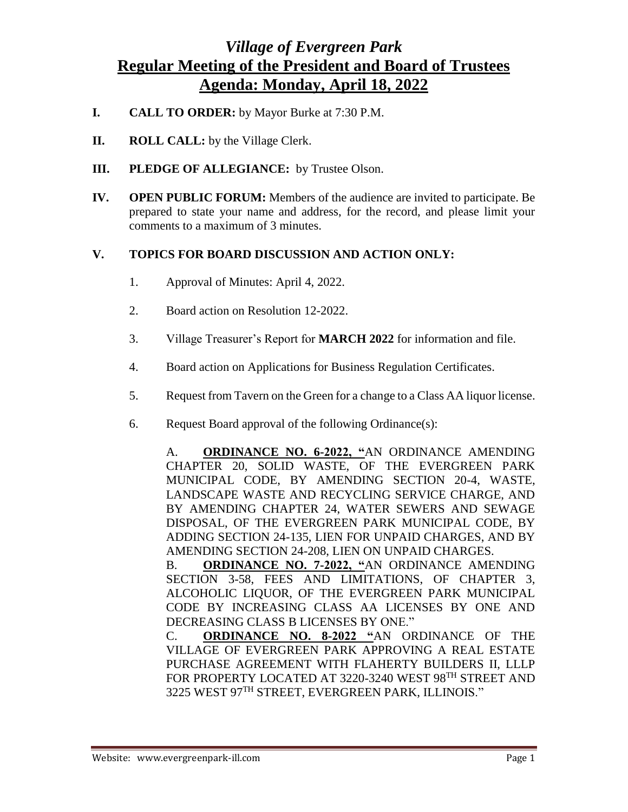## *Village of Evergreen Park* **Regular Meeting of the President and Board of Trustees Agenda: Monday, April 18, 2022**

- **I. CALL TO ORDER:** by Mayor Burke at 7:30 P.M.
- **II. ROLL CALL:** by the Village Clerk.
- **III. PLEDGE OF ALLEGIANCE:** by Trustee Olson.
- **IV. OPEN PUBLIC FORUM:** Members of the audience are invited to participate. Be prepared to state your name and address, for the record, and please limit your comments to a maximum of 3 minutes.

## **V. TOPICS FOR BOARD DISCUSSION AND ACTION ONLY:**

- 1. Approval of Minutes: April 4, 2022.
- 2. Board action on Resolution 12-2022.
- 3. Village Treasurer's Report for **MARCH 2022** for information and file.
- 4. Board action on Applications for Business Regulation Certificates.
- 5. Request from Tavern on the Green for a change to a Class AA liquor license.
- 6. Request Board approval of the following Ordinance(s):

A. **ORDINANCE NO. 6-2022, "**AN ORDINANCE AMENDING CHAPTER 20, SOLID WASTE, OF THE EVERGREEN PARK MUNICIPAL CODE, BY AMENDING SECTION 20-4, WASTE, LANDSCAPE WASTE AND RECYCLING SERVICE CHARGE, AND BY AMENDING CHAPTER 24, WATER SEWERS AND SEWAGE DISPOSAL, OF THE EVERGREEN PARK MUNICIPAL CODE, BY ADDING SECTION 24-135, LIEN FOR UNPAID CHARGES, AND BY AMENDING SECTION 24-208, LIEN ON UNPAID CHARGES.

B. **ORDINANCE NO. 7-2022, "**AN ORDINANCE AMENDING SECTION 3-58, FEES AND LIMITATIONS, OF CHAPTER 3, ALCOHOLIC LIQUOR, OF THE EVERGREEN PARK MUNICIPAL CODE BY INCREASING CLASS AA LICENSES BY ONE AND DECREASING CLASS B LICENSES BY ONE."

C. **ORDINANCE NO. 8-2022 "**AN ORDINANCE OF THE VILLAGE OF EVERGREEN PARK APPROVING A REAL ESTATE PURCHASE AGREEMENT WITH FLAHERTY BUILDERS II, LLLP FOR PROPERTY LOCATED AT 3220-3240 WEST 98<sup>TH</sup> STREET AND 3225 WEST 97TH STREET, EVERGREEN PARK, ILLINOIS."